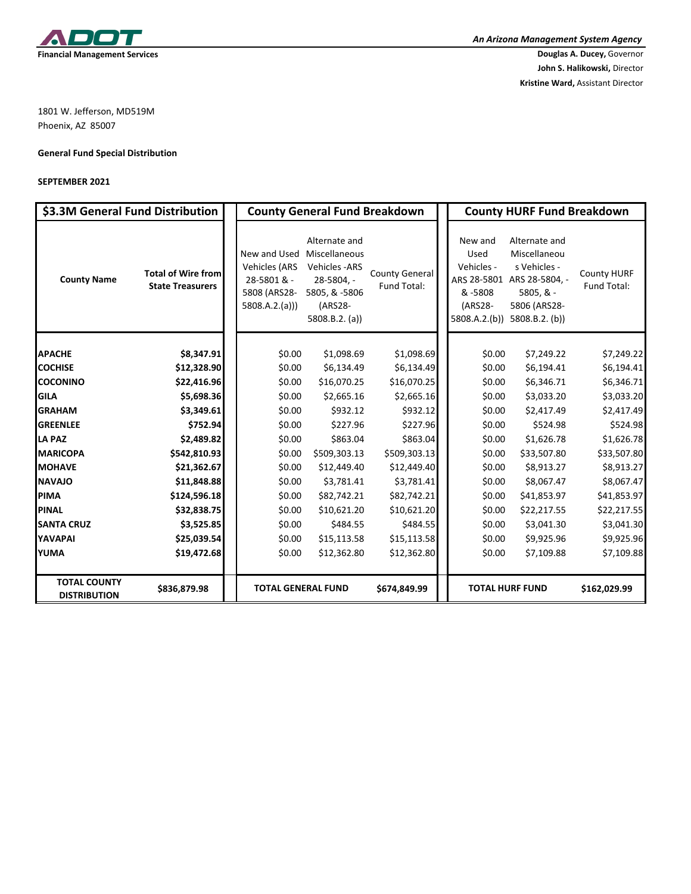

**John S. Halikowski,** Director **Kristine Ward,** Assistant Director

1801 W. Jefferson, MD519M Phoenix, AZ 85007

## **General Fund Special Distribution**

## **SEPTEMBER 2021**

| \$3.3M General Fund Distribution           |                                                      | <b>County General Fund Breakdown</b>                                                               |                                                                                                 |                                      | <b>County HURF Fund Breakdown</b>                   |                                                                                                                                           |                                   |  |
|--------------------------------------------|------------------------------------------------------|----------------------------------------------------------------------------------------------------|-------------------------------------------------------------------------------------------------|--------------------------------------|-----------------------------------------------------|-------------------------------------------------------------------------------------------------------------------------------------------|-----------------------------------|--|
| <b>County Name</b>                         | <b>Total of Wire from</b><br><b>State Treasurers</b> | New and Used Miscellaneous<br><b>Vehicles (ARS</b><br>28-5801 & -<br>5808 (ARS28-<br>5808.A.2.(a)) | Alternate and<br><b>Vehicles-ARS</b><br>28-5804, -<br>5805, & -5806<br>(ARS28-<br>5808.B.2. (a) | <b>County General</b><br>Fund Total: | New and<br>Used<br>Vehicles -<br>& -5808<br>(ARS28- | Alternate and<br>Miscellaneou<br>s Vehicles -<br>ARS 28-5801 ARS 28-5804, -<br>$5805, 8 -$<br>5806 (ARS28-<br>5808.A.2.(b)) 5808.B.2.(b)) | <b>County HURF</b><br>Fund Total: |  |
| <b>APACHE</b>                              | \$8,347.91                                           | \$0.00                                                                                             | \$1,098.69                                                                                      | \$1,098.69                           | \$0.00                                              | \$7,249.22                                                                                                                                | \$7,249.22                        |  |
| <b>COCHISE</b>                             | \$12,328.90                                          | \$0.00                                                                                             | \$6,134.49                                                                                      | \$6,134.49                           | \$0.00                                              | \$6,194.41                                                                                                                                | \$6,194.41                        |  |
| <b>COCONINO</b>                            | \$22,416.96                                          | \$0.00                                                                                             | \$16,070.25                                                                                     | \$16,070.25                          | \$0.00                                              | \$6,346.71                                                                                                                                | \$6,346.71                        |  |
| <b>GILA</b>                                | \$5,698.36                                           | \$0.00                                                                                             | \$2,665.16                                                                                      | \$2,665.16                           | \$0.00                                              | \$3,033.20                                                                                                                                | \$3,033.20                        |  |
| <b>GRAHAM</b>                              | \$3,349.61                                           | \$0.00                                                                                             | \$932.12                                                                                        | \$932.12                             | \$0.00                                              | \$2,417.49                                                                                                                                | \$2,417.49                        |  |
| <b>GREENLEE</b>                            | \$752.94                                             | \$0.00                                                                                             | \$227.96                                                                                        | \$227.96                             | \$0.00                                              | \$524.98                                                                                                                                  | \$524.98                          |  |
| <b>LA PAZ</b>                              | \$2,489.82                                           | \$0.00                                                                                             | \$863.04                                                                                        | \$863.04                             | \$0.00                                              | \$1,626.78                                                                                                                                | \$1,626.78                        |  |
| <b>MARICOPA</b>                            | \$542,810.93                                         | \$0.00                                                                                             | \$509,303.13                                                                                    | \$509,303.13                         | \$0.00                                              | \$33,507.80                                                                                                                               | \$33,507.80                       |  |
| <b>MOHAVE</b>                              | \$21,362.67                                          | \$0.00                                                                                             | \$12,449.40                                                                                     | \$12,449.40                          | \$0.00                                              | \$8,913.27                                                                                                                                | \$8,913.27                        |  |
| <b>NAVAJO</b>                              | \$11,848.88                                          | \$0.00                                                                                             | \$3,781.41                                                                                      | \$3,781.41                           | \$0.00                                              | \$8,067.47                                                                                                                                | \$8,067.47                        |  |
| <b>PIMA</b>                                | \$124,596.18                                         | \$0.00                                                                                             | \$82,742.21                                                                                     | \$82,742.21                          | \$0.00                                              | \$41,853.97                                                                                                                               | \$41,853.97                       |  |
| <b>PINAL</b>                               | \$32,838.75                                          | \$0.00                                                                                             | \$10,621.20                                                                                     | \$10,621.20                          | \$0.00                                              | \$22,217.55                                                                                                                               | \$22,217.55                       |  |
| <b>SANTA CRUZ</b>                          | \$3,525.85                                           | \$0.00                                                                                             | \$484.55                                                                                        | \$484.55                             | \$0.00                                              | \$3,041.30                                                                                                                                | \$3,041.30                        |  |
| <b>YAVAPAI</b>                             | \$25,039.54                                          | \$0.00                                                                                             | \$15,113.58                                                                                     | \$15,113.58                          | \$0.00                                              | \$9,925.96                                                                                                                                | \$9,925.96                        |  |
| <b>YUMA</b>                                | \$19,472.68                                          | \$0.00                                                                                             | \$12,362.80                                                                                     | \$12,362.80                          | \$0.00                                              | \$7,109.88                                                                                                                                | \$7,109.88                        |  |
| <b>TOTAL COUNTY</b><br><b>DISTRIBUTION</b> | \$836,879.98                                         | <b>TOTAL GENERAL FUND</b>                                                                          |                                                                                                 | \$674,849.99                         | <b>TOTAL HURF FUND</b>                              |                                                                                                                                           | \$162,029.99                      |  |